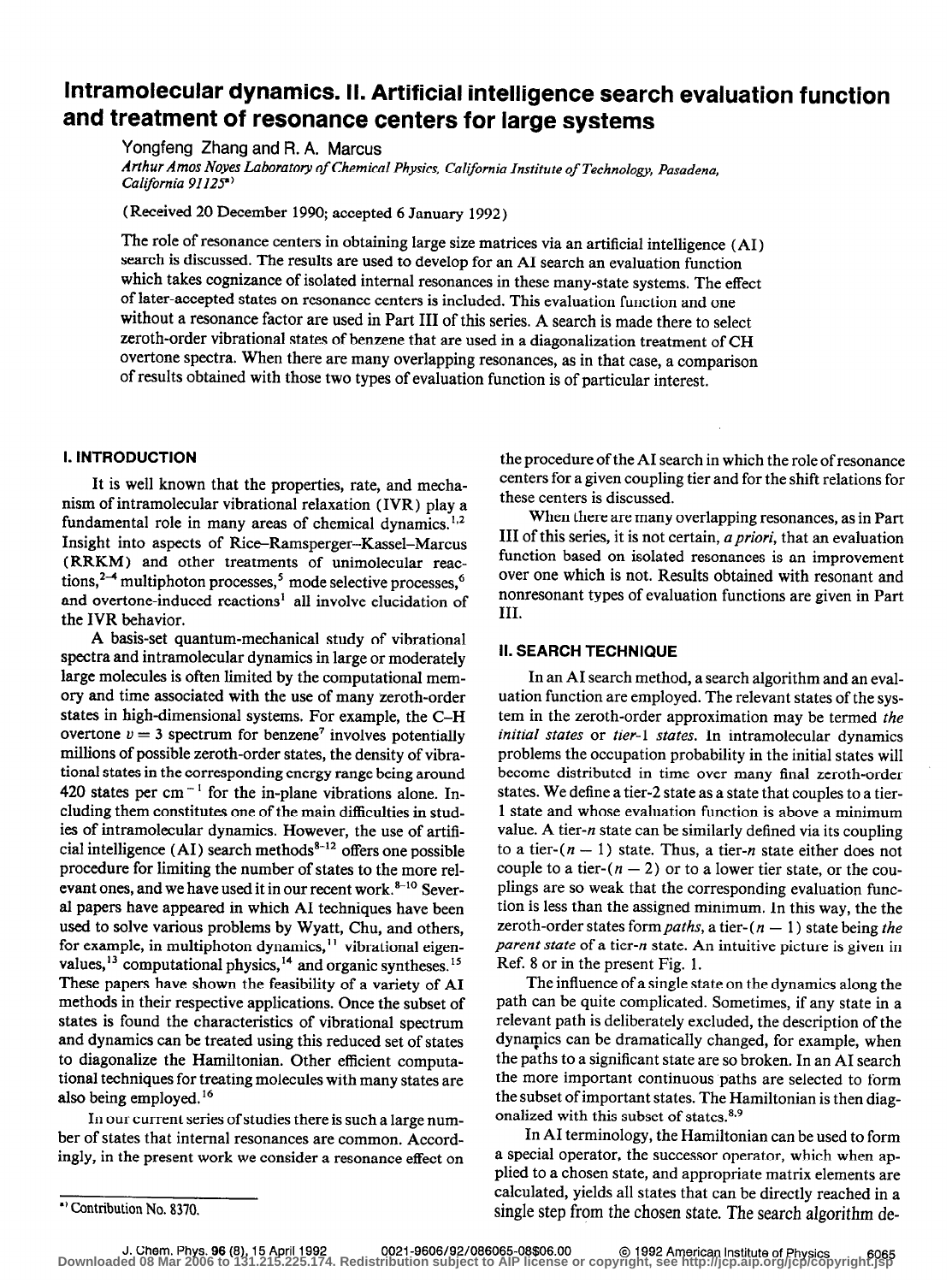# Intramolecular dynamics. II. Artificial intelligence search evaluation function and treatment of resonance centers for large systems

Yongfeng Zhang and R. A. Marcus

Arthur Amos Noyes Laboratory of Chemical Physics, California Institute of Technology, Pasadena, California 91125<sup>a)</sup>

(Received 20 December 1990; accepted 6 January 1992)

The role of resonance centers in obtaining large size matrices via an artificial intelligence (AI) search is discussed. The results are used to develop for an AI search an evaluation function which takes cognizance of isolated internal resonances in these many-state systems. The effect of later-accepted states on resonance centers is included. This evaluation function and one without a resonance factor are used in Part III of this series. A search is made there to select zeroth-order vibrational states of benzene that are used in a diagonalization treatment of CH overtone spectra. When there are many overlapping resonances, as in that case, a comparison of results obtained with those two types of evaluation function is of particular interest.

#### I. INTRODUCTION

It is well known that the properties, rate, and mechanism of intramolecular vibrational relaxation (IVR) play a fundamental role in many areas of chemical dynamics.<sup>1,2</sup> Insight into aspects of Rice-Ramsperger-Kassel-Marcus (RRKM) and other treatments of unimolecular reactions,<sup>2</sup> multiphoton processes,<sup>3</sup> mode selective processes,<sup>6</sup> and overtone-induced reactions' all involve elucidation of the IVR behavior.

A basis-set quantum-mechanical study of vibrational spectra and intramolecular dynamics in large or moderately large molecules is often limited by the computational memory and time associated with the use of many zeroth-order states in high-dimensional systems. For example, the C-H overtone  $v = 3$  spectrum for benzene<sup>7</sup> involves potentially millions of possible zeroth-order states, the density of vibrational states in the corresponding energy range being around 420 states per cm<sup> $-1$ </sup> for the in-plane vibrations alone. Including them constitutes one of the main difficulties in studies of intramolecular dynamics. However, the use of artificial intelligence  $(AI)$  search methods<sup>8-12</sup> offers one possible procedure for limiting the number of states to the more relevant ones, and we have used it in our recent work.<sup>8-10</sup> Several papers have appeared in which AI techniques have been used to solve various problems by Wyatt, Chu, and others, for example, in multiphoton dynamics," vibrational eigenvalues, <sup>13</sup> computational physics, <sup>14</sup> and organic syntheses.<sup>15</sup> These papers have shown the feasibility of a variety of AI methods in their respective applications. Once the subset of states is found the characteristics of vibrational spectrum and dynamics can be treated using this reduced set of states to diagonalize the Hamiltonian. Other efficient computational techniques for treating molecules with many states are also being employed. I6

In our current series of studies there is such a large number of states that internal resonances are common. Accordingly, in the present work we consider a resonance effect on the procedure of the AI search in which the role of resonance centers for a given coupling tier and for the shift relations for these centers is discussed.

When there are many overlapping resonances, as in Part III of this series, it is not certain, a priori, that an evaluation function based on isolated resonances is an improvement over one which is not. Results obtained with resonant and nonresonant types of evaluation functions are given in Part III.

### II. SEARCH TECHNIQUE

In an AI search method, a search algorithm and an evaluation function are employed. The relevant states of the system in the zeroth-order approximation may be termed the initial states or tier-l states. In intramolecular dynamics problems the occupation probability in the initial states will become distributed in time over many final zeroth-order states. We define a tier-2 state as a state that couples to a tier-1 state and whose evaluation function is above a minimum value. A tier-*n* state can be similarly defined via its coupling to a tier- $(n - 1)$  state. Thus, a tier-*n* state either does not couple to a tier- $(n - 2)$  or to a lower tier state, or the couplings are so weak that the corresponding evaluation function is less than the assigned minimum. In this way, the the zeroth-order states form *paths*, a tier- $(n - 1)$  state being the parent state of a tier-n state. An intuitive picture is given in Ref. 8 or in the present Fig. 1.

The influence of a single state on the dynamics along the path can be quite complicated. Sometimes, if any state in a relevant path is deliberately excluded, the description of the dynamics can be dramatically changed, for example, when the paths to a significant state are so broken. In an AI search the more important continuous paths are selected to form the subset of important states. The Hamiltonian is then diagonalized with this subset of states. $8.9$ 

In AI terminology, the Hamiltonian can be used to form a special operator, the successor operator, which when applied to a chosen state, and appropriate matrix elements are calculated, yields all states that can be directly reached in a single step from the chosen state. The search algorithm de-

<sup>&#</sup>x27;) Contribution No. 8370.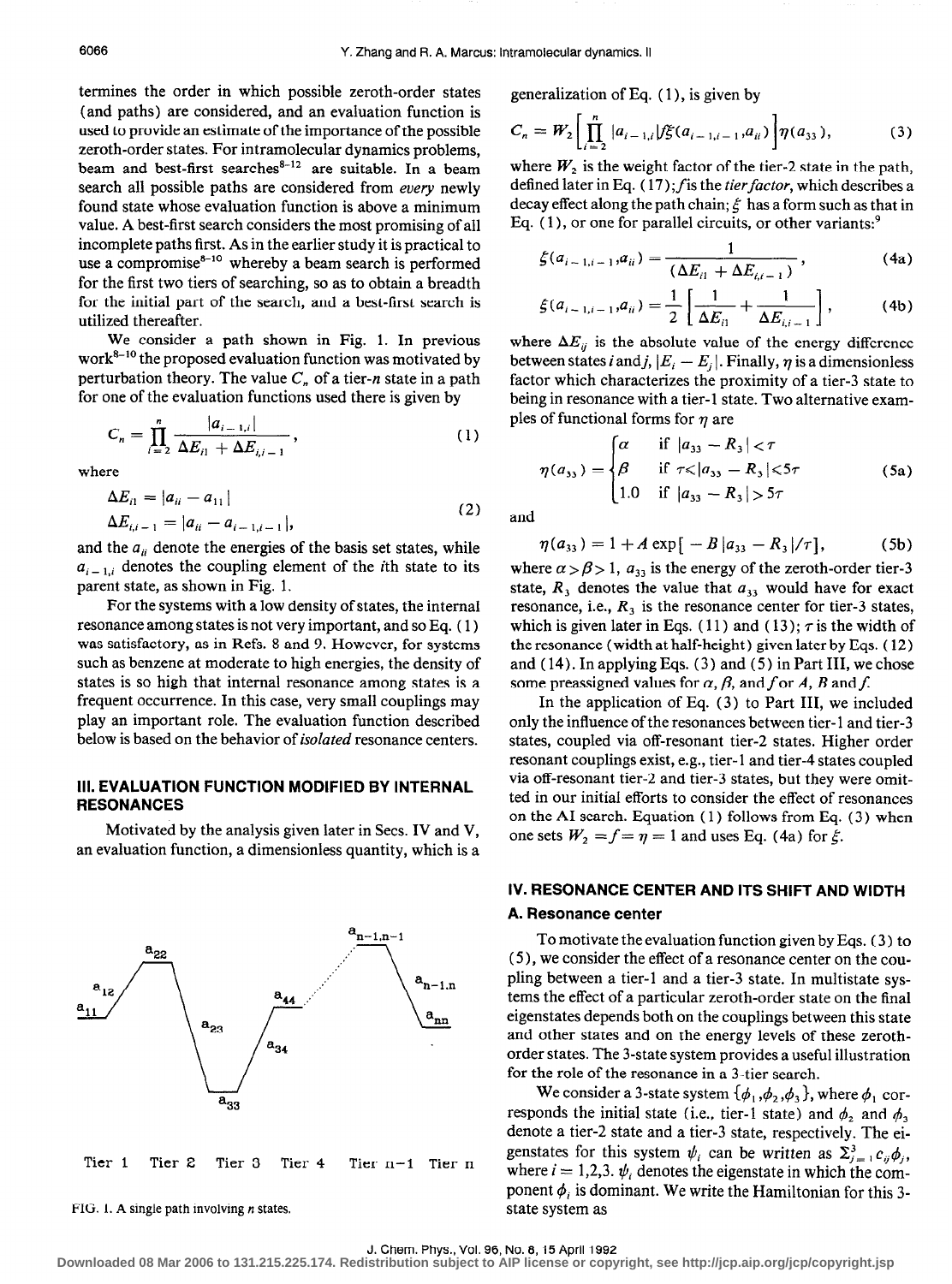termines the order in which possible zeroth-order states (and paths) are considered, and an evaluation function is used to provide an estimate of the importance of the possible zeroth-order states. For intramolecular dynamics problems, beam and best-first searches<sup>8-12</sup> are suitable. In a beam search all possible paths are considered from every newly found state whose evaluation function is above a minimum value. A best-first search considers the most promising of all incomplete paths first. As in the earlier study it is practical to use a compromise $s^{-10}$  whereby a beam search is performed for the first two tiers of searching, so as to obtain a breadth for the initial part of the search, and a best-first search is utilized thereafter.

We consider a path shown in Fig. 1. In previous  $work<sup>8-10</sup>$  the proposed evaluation function was motivated by perturbation theory. The value  $C_n$  of a tier-n state in a path for one of the evaluation functions used there is given by

$$
C_n = \prod_{i=2}^n \frac{|a_{i-1,i}|}{\Delta E_{i1} + \Delta E_{i,i-1}},
$$
 (1)

where

$$
\Delta E_{i1} = |a_{ii} - a_{11}|
$$
  
\n
$$
\Delta E_{i,i-1} = |a_{ii} - a_{i-1,i-1}|,
$$
\n(2)

and the  $a_{ii}$  denote the energies of the basis set states, while  $a_{i-1,i}$  denotes the coupling element of the *i*th state to its parent state, as shown in Fig. 1.

For the systems with a low density of states, the internal resonance among states is not very important, and so Eq. ( 1) was satisfactory, as in Refs. 8 and 9. However, for systems such as benzene at moderate to high energies, the density of states is so high that internal resonance among states is a frequent occurrence. In this case, very small couplings may play an important role. The evaluation function described below is based on the behavior of *isolated* resonance centers.

### Ill. EVALUATION FUNCTION MODIFIED BY INTERNAL RESONANCES

Motivated by the analysis given later in Secs. IV and V, an evaluation function, a dimensionless quantity, which is a



FIG. 1. A single path involving  $n$  states.

generalization of Eq. ( 1 ), is given by

$$
C_n = W_2 \left[ \prod_{i=2}^n |a_{i-1,i}| f \xi(a_{i-1,i-1}, a_{ii}) \right] \eta(a_{33}), \qquad (3)
$$

where  $W_2$  is the weight factor of the tier-2 state in the path, defined later in Eq.  $(17)$ ; f is the tier factor, which describes a decay effect along the path chain;  $\xi$  has a form such as that in Eq.  $(1)$ , or one for parallel circuits, or other variants:<sup>9</sup>

$$
\xi(a_{i-1,i-1},a_{ii}) = \frac{1}{(\Delta E_{i1} + \Delta E_{i,i-1})},
$$
\n(4a)

$$
\xi(a_{i-1,i-1},a_{ii}) = \frac{1}{2} \left[ \frac{1}{\Delta E_{i1}} + \frac{1}{\Delta E_{i,i-1}} \right],
$$
 (4b)

where  $\Delta E_{ij}$  is the absolute value of the energy difference between states i and j,  $|E_i - E_j|$ . Finally,  $\eta$  is a dimensionless factor which characterizes the proximity of a tier-3 state to being in resonance with a tier-l state. Two alternative examples of functional forms for  $\eta$  are

$$
\eta(a_{33}) = \begin{cases}\n\alpha & \text{if } |a_{33} - R_3| < \tau \\
\beta & \text{if } \tau \le |a_{33} - R_3| \le 5\tau \\
1.0 & \text{if } |a_{33} - R_3| > 5\tau\n\end{cases}
$$
\n(5a)

and

$$
\eta(a_{33}) = 1 + A \exp[-B|a_{33} - R_3|/\tau], \tag{5b}
$$

where  $\alpha > \beta > 1$ ,  $a_{33}$  is the energy of the zeroth-order tier-3 state,  $R_3$  denotes the value that  $a_{33}$  would have for exact resonance, i.e.,  $R_3$  is the resonance center for tier-3 states, which is given later in Eqs. (11) and (13);  $\tau$  is the width of the resonance (width at half-height) given later by Eqs. ( 12) and ( 14). In applying Eqs. ( 3) and ( 5) in Part III, we chose some preassigned values for  $\alpha$ ,  $\beta$ , and f or A, B and f.

In the application of Eq. (3) to Part III, we included only the influence of the resonances between tier-l and tier-3 states, coupled via off-resonant tier-2 states. Higher order resonant couplings exist, e.g., tier- 1 and tier-4 states coupled via off-resonant tier-2 and tier-3 states, but they were omitted in our initial efforts to consider the effect of resonances on the AI search. Equation ( 1) follows from Eq. (3) when one sets  $W_2 = f = \eta = 1$  and uses Eq. (4a) for  $\xi$ .

### IV. RESONANCE CENTER AND ITS SHIFT AND WIDTH A. Resonance center

# To motivate the evaluation function given by Eqs. ( 3) to (5), we consider the effect of a resonance center on the coupling between a tier-l and a tier-3 state. In multistate systems the effect of a particular zeroth-order state on the final eigenstates depends both on the couplings between this state and other states and on the energy levels of these zerothorder states. The 3-state system provides a useful illustration

for the role of the resonance in a 3-tier search. We consider a 3-state system  $\{\phi_1, \phi_2, \phi_3\}$ , where  $\phi_1$  corresponds the initial state (i.e., tier-1 state) and  $\phi_2$  and  $\phi_3$ denote a tier-2 state and a tier-3 state, respectively. The eigenstates for this system  $\psi_i$  can be written as  $\Sigma_{i=1}^3 c_{ij} \phi_i$ , where  $i = 1,2,3$ .  $\psi_i$  denotes the eigenstate in which the component  $\phi_i$  is dominant. We write the Hamiltonian for this 3-

state system as

**Downloaded 08 Mar 2006 to 131.215.225.174. Redistribution subject to AIP license or copyright, see http://jcp.aip.org/jcp/copyright.jsp**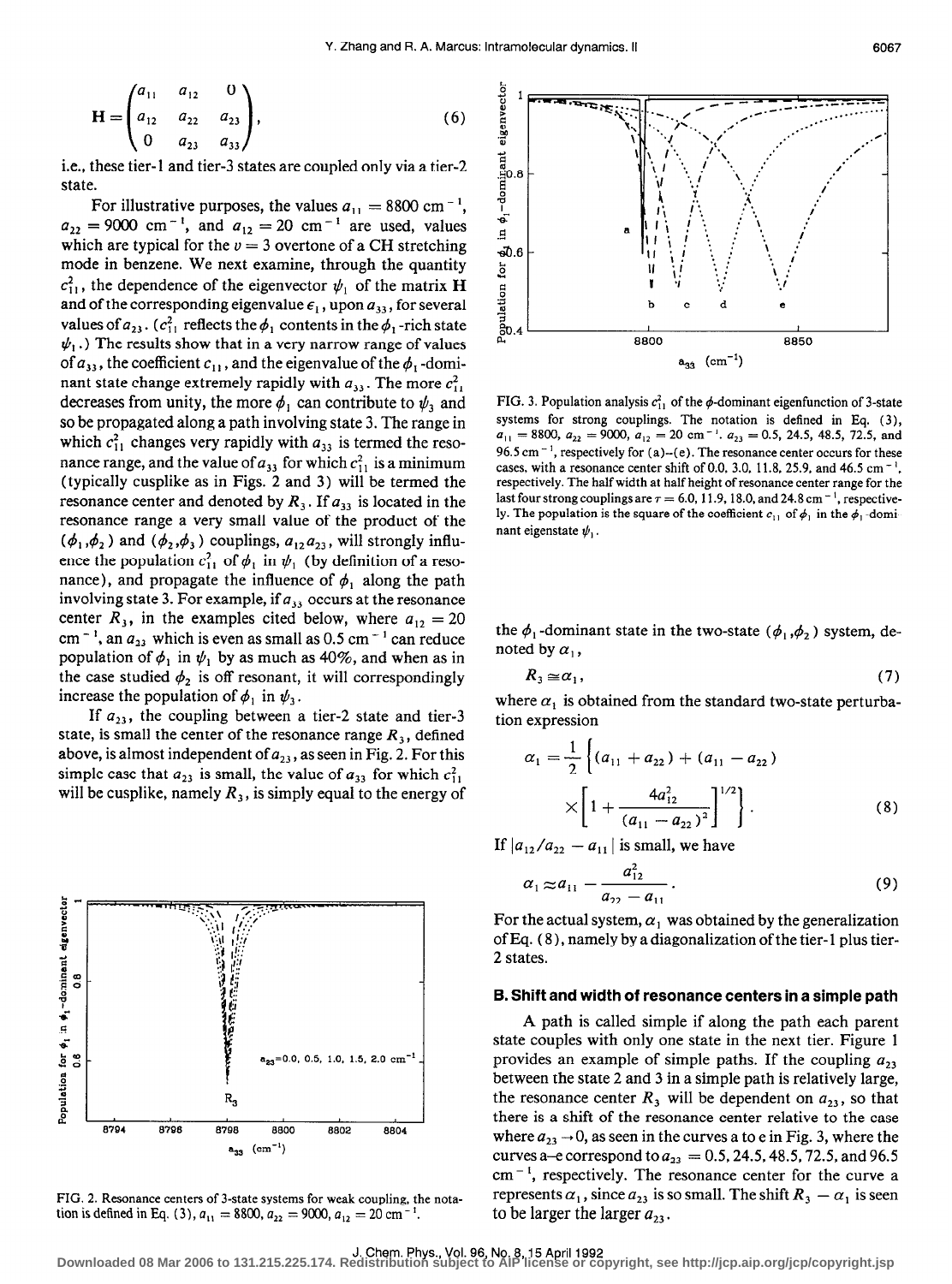$$
\mathbf{H} = \begin{pmatrix} a_{11} & a_{12} & 0 \\ a_{12} & a_{22} & a_{23} \\ 0 & a_{23} & a_{33} \end{pmatrix},
$$
 (6)

i.e., these tier-l and tier-3 states are coupled only via a tier-2 state.

For illustrative purposes, the values  $a_{11} = 8800 \text{ cm}^{-1}$ ,  $a_{22} = 9000 \text{ cm}^{-1}$ , and  $a_{12} = 20 \text{ cm}^{-1}$  are used, values which are typical for the  $v = 3$  overtone of a CH stretching mode in benzene. We next examine, through the quantity  $c_{11}^2$ , the dependence of the eigenvector  $\psi_1$  of the matrix H and of the corresponding eigenvalue  $\epsilon_1$ , upon  $a_{33}$ , for several values of  $a_{23}$ . ( $c_{11}^2$  reflects the  $\phi_1$  contents in the  $\phi_1$ -rich state  $\psi_1$ .) The results show that in a very narrow range of values of  $a_{33}$  , the coefficient  $c_{11}$  , and the eigenvalue of the  $\phi_1$  -domi nant state change extremely rapidly with  $a_{33}$ . The more  $c_{11}^2$ decreases from unity, the more  $\phi_1$  can contribute to  $\psi_3$  and so be propagated along a path involving state 3. The range in which  $c_{11}^2$  changes very rapidly with  $a_{33}$  is termed the resonance range, and the value of  $a_{33}$  for which  $c_{11}^2$  is a minimum (typically cusplike as in Figs. 2 and 3) will be termed the resonance center and denoted by  $R_3$ . If  $a_{33}$  is located in the resonance range a very small value of the product of the  $(\phi_1, \phi_2)$  and  $(\phi_2, \phi_3)$  couplings,  $a_{12}a_{23}$ , will strongly influence the population  $c_{11}^2$  of  $\phi_1$  in  $\psi_1$  (by definition of a resonance), and propagate the influence of  $\phi_1$  along the path involving state 3. For example, if  $a_{33}$  occurs at the resonance center  $R_3$ , in the examples cited below, where  $a_{12} = 20$ cm<sup>-1</sup>, an  $a_{23}$  which is even as small as 0.5 cm<sup>-1</sup> can reduce population of  $\phi_1$  in  $\psi_1$  by as much as 40%, and when as in the case studied  $\phi_2$  is off resonant, it will correspondingly increase the population of  $\phi_1$  in  $\psi_3$ .

If  $a_{23}$ , the coupling between a tier-2 state and tier-3 state, is small the center of the resonance range  $R_3$ , defined above, is almost independent of  $a_{23}$ , as seen in Fig. 2. For this simple case that  $a_{23}$  is small, the value of  $a_{33}$  for which  $c_{11}^2$ will be cusplike, namely  $R_3$ , is simply equal to the energy of



FIG. 2. Resonance centers of 3-state systems for weak coupling, the notation is defined in Eq. (3),  $a_{11} = 8800$ ,  $a_{22} = 9000$ ,  $a_{12} = 20$  cm<sup>-1</sup>.



FIG. 3. Population analysis  $c_{11}^2$  of the  $\phi$ -dominant eigenfunction of 3-state systems for strong couplings. The notation is defined in Eq. (3),  $a_{11} = 8800$ ,  $a_{22} = 9000$ ,  $a_{12} = 20$  cm<sup>-1</sup>.  $a_{23} = 0.5$ , 24.5, 48.5, 72.5, and 96.5 cm<sup>-1</sup>, respectively for (a)–(e). The resonance center occurs for these cases, with a resonance center shift of 0.0, 3.0, 11.8, 25.9, and 46.5 cm<sup>-1</sup>, respectively. The half width at half height of resonance center range for the last four strong couplings are  $\tau = 6.0, 11.9, 18.0,$  and 24.8 cm<sup>-1</sup>, respectively. The population is the square of the coefficient  $c_{11}$  of  $\phi_1$  in the  $\phi_1$ -dominant eigenstate  $\psi_1$ .

the  $\phi_1$ -dominant state in the two-state  $(\phi_1, \phi_2)$  system, denoted by  $\alpha_1$ ,

$$
R_3 \simeq a_1, \tag{7}
$$

where  $\alpha_1$  is obtained from the standard two-state perturbation expression

$$
\alpha_1 = \frac{1}{2} \left\{ (a_{11} + a_{22}) + (a_{11} - a_{22}) \times \left[ 1 + \frac{4a_{12}^2}{(a_{11} - a_{22})^2} \right]^{1/2} \right\}.
$$
\n(8)

If  $|a_{12}/a_{22} - a_{11}|$  is small, we have

$$
\alpha_1 \approx a_{11} - \frac{a_{12}^2}{a_{22} - a_{11}}.
$$
\n(9)

For the actual system,  $\alpha_1$  was obtained by the generalization of Eq. (8 ), namely by a diagonalization of the tier- 1 plus tier-2 states.

#### 6. Shift and width of resonance centers in a simple path

A path is called simple if along the path each parent state couples with only one state in the next tier. Figure 1 provides an example of simple paths. If the coupling  $a_{23}$ between the state 2 and 3 in a simple path is relatively large, the resonance center  $R_3$  will be dependent on  $a_{23}$ , so that there is a shift of the resonance center relative to the case where  $a_{23} \rightarrow 0$ , as seen in the curves a to e in Fig. 3, where the curves a-e correspond to  $a_{23} = 0.5, 24.5, 48.5, 72.5,$  and 96.5  $cm^{-1}$ , respectively. The resonance center for the curve a represents  $\alpha_1$ , since  $\alpha_{23}$  is so small. The shift  $R_3 - \alpha_1$  is seen to be larger the larger  $a_{23}$ .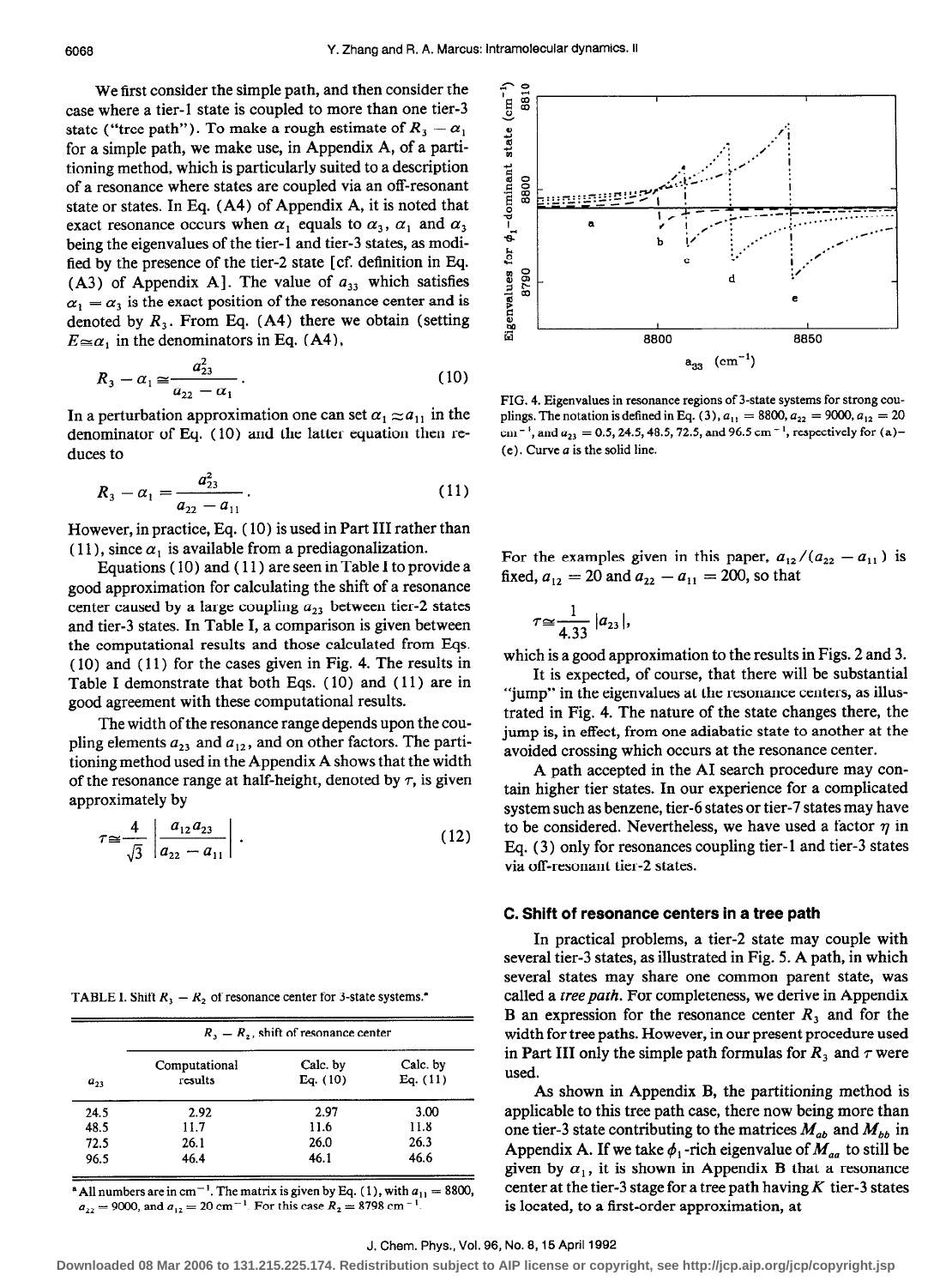We first consider the simple path, and then consider the case where a tier-l state is coupled to more than one tier-3 state ("tree path"). To make a rough estimate of  $R_3 - \alpha_1$ for a simple path, we make use, in Appendix A, of a partitioning method, which is particularly suited to a description of a resonance where states are coupled via an off-resonant state or states. In Eq. (A4) of Appendix A, it is noted that exact resonance occurs when  $\alpha_1$  equals to  $\alpha_3$ ,  $\alpha_1$  and  $\alpha_3$ being the eigenvalues of the tier-l and tier-3 states, as modified by the presence of the tier-2 state [cf. definition in Eq. (A3) of Appendix A]. The value of  $a_{33}$  which satisfies  $\alpha_1 = \alpha_3$  is the exact position of the resonance center and is denoted by  $R_3$ . From Eq. (A4) there we obtain (setting  $E \cong \alpha_1$  in the denominators in Eq. (A4),

$$
R_3 - \alpha_1 \simeq \frac{a_{23}^2}{a_{22} - \alpha_1} \,. \tag{10}
$$

In a perturbation approximation one can set  $\alpha_1 \approx a_{11}$  in the denominator of Eq. ( 10) and the latter equation then reduces to

$$
R_3 - \alpha_1 = \frac{a_{23}^2}{a_{22} - a_{11}} \,. \tag{11}
$$

However, in practice, Eq. ( 10) is used in Part III rather than (11), since  $\alpha_1$  is available from a prediagonalization.

Equations ( 10) and ( 11) are seen in Table I to provide a good approximation for calculating the shift of a resonance center caused by a large coupling  $a_{23}$  between tier-2 states and tier-3 states. In Table I, a comparison is given between the computational results and those calculated from Eqs. ( 10) and ( 11) for the cases given in Fig. 4. The results in Table I demonstrate that both Eqs. ( 10) and ( 11) are in good agreement with these computational results.

The width of the resonance range depends upon the coupling elements  $a_{23}$  and  $a_{12}$ , and on other factors. The partitioning method used in the Appendix A shows that the width of the resonance range at half-height, denoted by  $\tau$ , is given approximately by

$$
\tau \simeq \frac{4}{\sqrt{3}} \left| \frac{a_{12} a_{23}}{a_{22} - a_{11}} \right| \,. \tag{12}
$$

TABLE I. Shift  $R_3 - R_2$  of resonance center for 3-state systems.<sup>\*</sup>

|          | $R_3 - R_2$ , shift of resonance center |            |            |  |
|----------|-----------------------------------------|------------|------------|--|
|          | Computational                           | Calc. by   | Calc. by   |  |
| $a_{23}$ | results                                 | Eq. $(10)$ | Eq. $(11)$ |  |
| 24.5     | 2.92                                    | 2.97       | 3.00       |  |
| 48.5     | 11.7                                    | 11.6       | 11.8       |  |
| 72.5     | 26.1                                    | 26.0       | 26.3       |  |
| 96.5     | 46.4                                    | 46.1       | 46.6       |  |

<sup>a</sup> All numbers are in cm<sup>-1</sup>. The matrix is given by Eq. (1), with  $a_{11} = 8800$ ,  $a_{22}=9000$ , and  $a_{12}=20$  cm<sup>-1</sup>. For this case  $R_2=8798$  cm<sup>-1</sup>



FIG. 4. Eigenvalues in resonance regions of 3-state systems for strong couplings. The notation is defined in Eq. (3),  $a_{11} = 8800$ ,  $a_{22} = 9000$ ,  $a_{12} = 20$ cm<sup>-1</sup>, and  $a_{23} = 0.5$ , 24.5, 48.5, 72.5, and 96.5 cm<sup>-1</sup>, respectively for (a)- $(e)$ . Curve  $a$  is the solid line.

For the examples given in this paper,  $a_{12}/(a_{22} - a_{11})$  is fixed,  $a_{12} = 20$  and  $a_{22} - a_{11} = 200$ , so that

$$
\tau \simeq \frac{1}{4.33} |a_{23}|,
$$

which is a good approximation to the results in Figs. 2 and 3.

It is expected, of course, that there will be substantial "jump" in the eigenvalues at the resonance centers, as illustrated in Fig. 4. The nature of the state changes there, the jump is, in effect, from one adiabatic state to another at the avoided crossing which occurs at the resonance center.

A path accepted in the AI search procedure may contain higher tier states. In our experience for a complicated system such as benzene, tier-6 states or tier-7 states may have to be considered. Nevertheless, we have used a factor  $\eta$  in Eq. (3) only for resonances coupling tier-1 and tier-3 states via off-resonant tier-2 states.

#### C. Shift of resonance centers in a tree path

In practical problems, a tier-2 state may couple with several tier-3 states, as illustrated in Fig. 5. A path, in which several states may share one common parent state, was called a tree path. For completeness, we derive in Appendix B an expression for the resonance center  $R_3$  and for the width for tree paths. However, in our present procedure used in Part III only the simple path formulas for  $R_3$  and  $\tau$  were used.

As shown in Appendix B, the partitioning method is applicable to this tree path case, there now being more than one tier-3 state contributing to the matrices  $M_{ab}$  and  $M_{bb}$  in Appendix A. If we take  $\phi_1$ -rich eigenvalue of  $M_{aa}$  to still be given by  $\alpha_1$ , it is shown in Appendix B that a resonance center at the tier-3 stage for a tree path having  $K$  tier-3 states is located, to a first-order approximation, at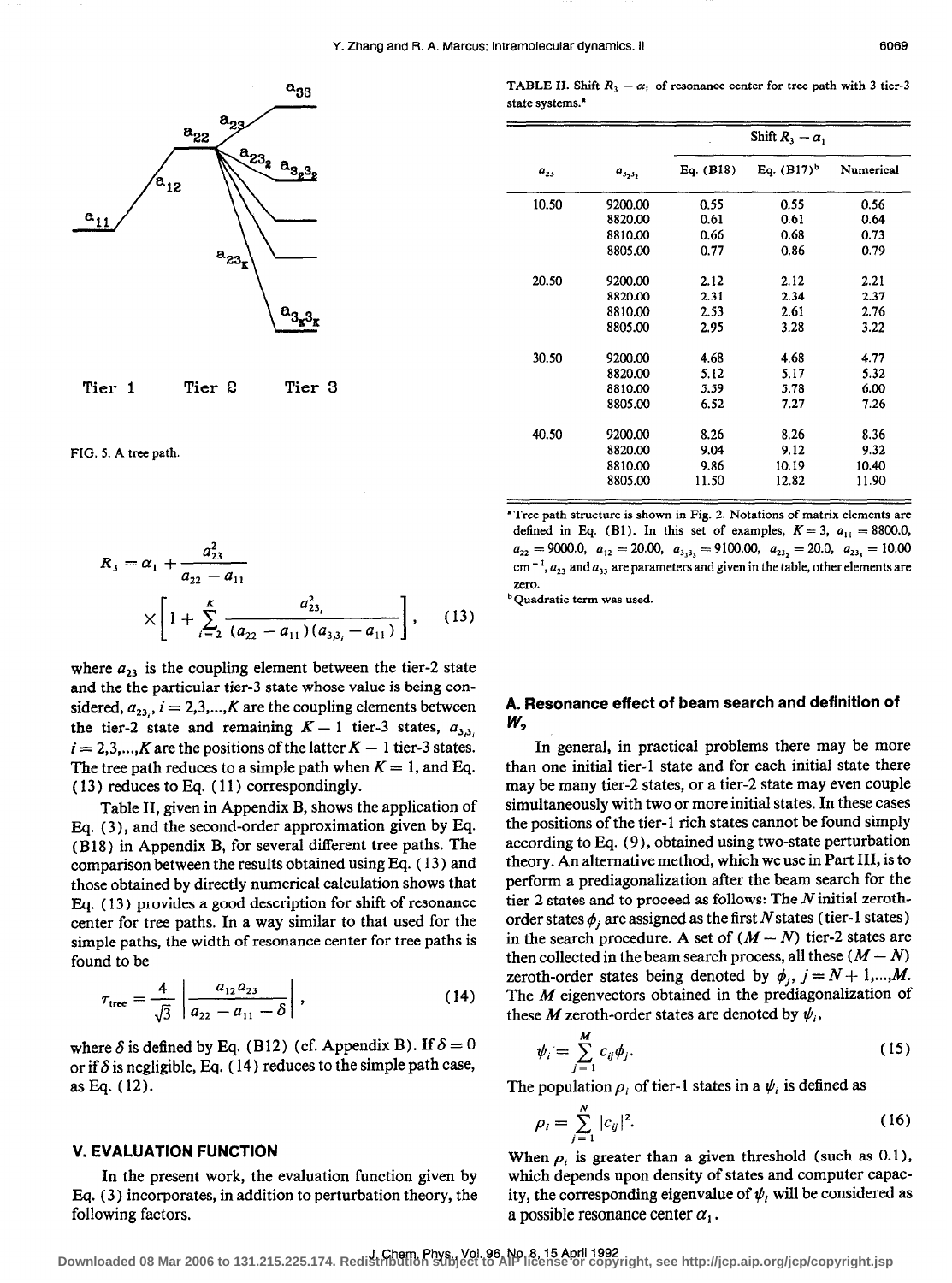



FIG. 5. A tree path.

$$
R_3 = \alpha_1 + \frac{a_{23}^2}{a_{22} - a_{11}} \times \left[ 1 + \sum_{i=2}^K \frac{a_{23_i}^2}{(a_{22} - a_{11})(a_{3\beta_i} - a_{11})} \right], \quad (13)
$$

where  $a_{23}$  is the coupling element between the tier-2 state and the the particular tier-3 state whose value is being considered,  $a_{23}$ ,  $i = 2,3,...,K$  are the coupling elements between the tier-2 state and remaining  $K - 1$  tier-3 states,  $a_{3,3}$ ,  $i = 2,3,...,K$  are the positions of the latter  $K - 1$  tier-3 states. The tree path reduces to a simple path when  $K = 1$ , and Eq. ( 13 ) reduces to Eq. ( 11) correspondingly.

Table II, given in Appendix B, shows the application of Bq. (3), and the second-order approximation given by Eq. (B 18) in Appendix B, for several different tree paths. The comparison between the results obtained using Eq. ( 13 ) and those obtained by directly numerical calculation shows that Eq. ( 13) provides a good description for shift of resonance center for tree paths. In a way similar to that used for the simple paths, the width of resonance center for tree paths is found to be

$$
\tau_{\text{tree}} = \frac{4}{\sqrt{3}} \left| \frac{a_{12} a_{23}}{a_{22} - a_{11} - \delta} \right|, \qquad (14)
$$

where  $\delta$  is defined by Eq. (B12) (cf. Appendix B). If  $\delta = 0$ or if  $\delta$  is negligible, Eq. (14) reduces to the simple path case, asEq. (12).

#### V. EVALUATION FUNCTION

In the present work, the evaluation function given by Eq. (3) incorporates, in addition to perturbation theory, the following factors.

TABLE II. Shift  $R_3 - \alpha_1$  of resonance center for tree path with 3 tier-3 state systems.<sup>\*</sup>

|          |              | Shift $R_3 - \alpha_1$ |                 |           |
|----------|--------------|------------------------|-----------------|-----------|
| $a_{23}$ | $a_{3_23_2}$ | Eq. $(B18)$            | Eq. $(B17)^{b}$ | Numerical |
| 10.50    | 9200.00      | 0.55                   | 0.55            | 0.56      |
|          | 8820.00      | 0.61                   | 0.61            | 0.64      |
|          | 8810.00      | 0.66                   | 0.68            | 0.73      |
|          | 8805.00      | 0.77                   | 0.86            | 0.79      |
| 20.50    | 9200.00      | 2.12                   | 2.12            | 2.21      |
|          | 8820.00      | 2.31                   | 2.34            | 2.37      |
|          | 8810.00      | 2.53                   | 2.61            | 2.76      |
|          | 8805.00      | 2.95                   | 3.28            | 3.22      |
| 30.50    | 9200.00      | 4.68                   | 4.68            | 4.77      |
|          | 8820.00      | 5.12                   | 5.17            | 5.32      |
|          | 8810.00      | 5.59                   | 5.78            | 6.00      |
|          | 8805.00      | 6.52                   | 7.27            | 7.26      |
| 40.50    | 9200.00      | 8.26                   | 8.26            | 8.36      |
|          | 8820.00      | 9.04                   | 9.12            | 9.32      |
|          | 8810.00      | 9.86                   | 10.19           | 10.40     |
|          | 8805.00      | 11.50                  | 12.82           | 11.90     |

'Tree path structure is shown in Fig. 2. Notations of matrix elements are defined in Eq. (B1). In this set of examples,  $K = 3$ ,  $a_{11} = 8800.0$ ,  $a_{22} = 9000.0$ ,  $a_{12} = 20.00$ ,  $a_{333} = 9100.00$ ,  $a_{23_2} = 20.0$ ,  $a_{23_3} = 10.00$ cm<sup>-1</sup>,  $a_{23}$  and  $a_{33}$  are parameters and given in the table, other elements are zero.

<sup>b</sup> Quadratic term was used.

### A. Resonance effect of beam search and definition of W,

In general, in practical problems there may be more than one initial tier-l state and for each initial state there may be many tier-2 states, or a tier-2 state may even couple simultaneously with two or more initial states. In these cases the positions of the tier-l rich states cannot be found simply according to Eq. (9), obtained using two-state perturbation theory. An alternative method, which we use in Part III, is to perform a prediagonalization after the beam search for the tier-2 states and to proceed as follows: The N initial zerothorder states  $\phi_i$  are assigned as the first N states (tier-1 states) in the search procedure. A set of  $(M - N)$  tier-2 states are then collected in the beam search process, all these  $(M - N)$ zeroth-order states being denoted by  $\phi_i$ ,  $j = N + 1,...,M$ . The  $M$  eigenvectors obtained in the prediagonalization of these M zeroth-order states are denoted by  $\psi_i$ ,

$$
\psi_i = \sum_{j=1}^M c_{ij} \phi_j. \tag{15}
$$

The population  $\rho_i$  of tier-1 states in a  $\psi_i$  is defined as

$$
\rho_i = \sum_{j=1}^{N} |c_{ij}|^2.
$$
 (16)

When  $\rho_i$  is greater than a given threshold (such as 0.1), which depends upon density of states and computer capacity, the corresponding eigenvalue of  $\psi_i$  will be considered as a possible resonance center  $\alpha_1$ .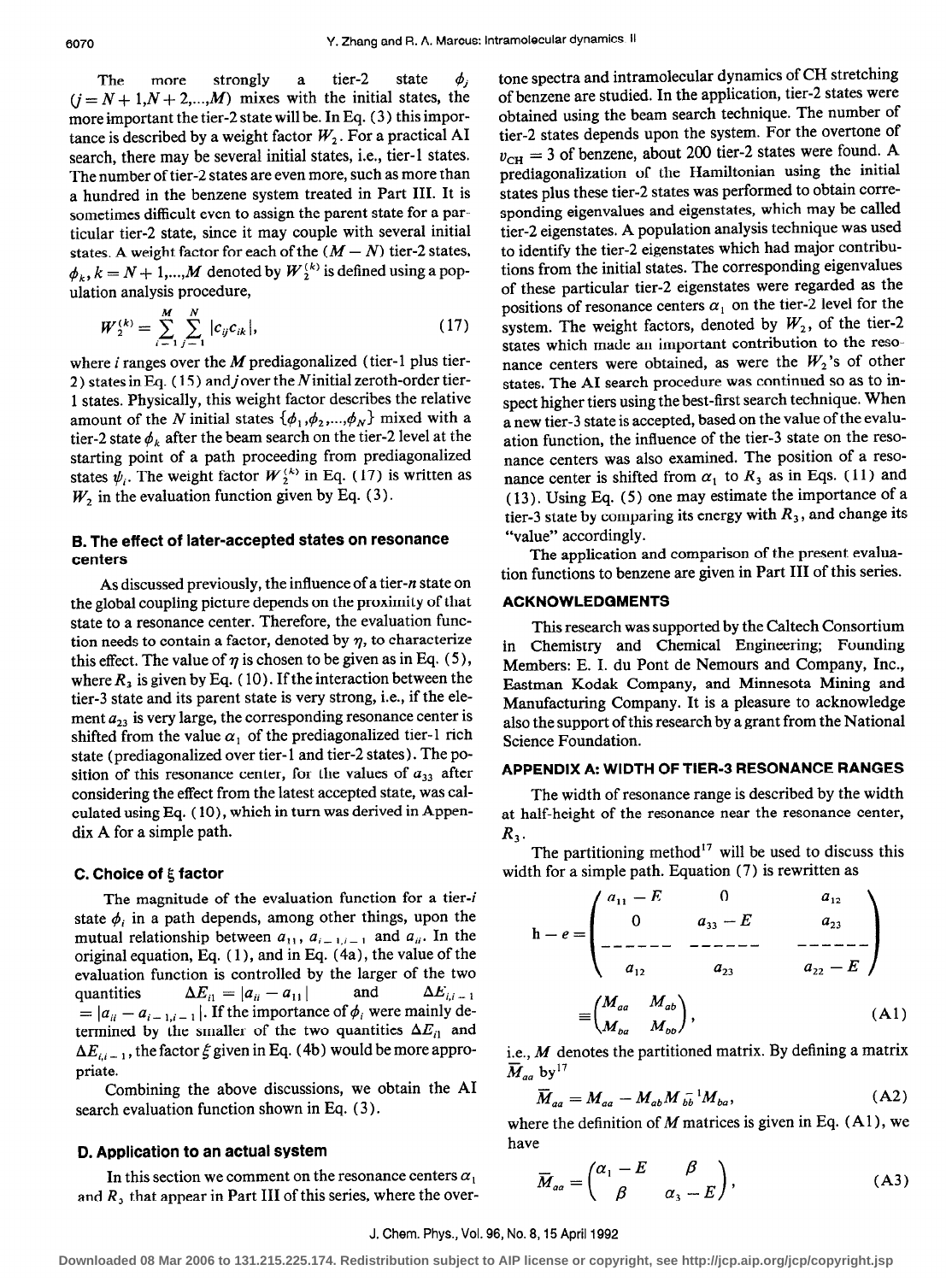The more strongly a tier-2 state  $\phi_i$  $(j = N + 1, N + 2, ..., M)$  mixes with the initial states, the more important the tier-2 state will be. In Eq. (3) this importance is described by a weight factor  $W_2$ . For a practical AI search, there may be several initial states, i.e., tier-l states. The number of tier-2 states are even more, such as more than a hundred in the benzene system treated in Part III. It is sometimes difficult even to assign the parent state for a particular tier-2 state, since it may couple with several initial states. A weight factor for each of the  $(M - N)$  tier-2 states,  $\phi_k$ ,  $k = N + 1, ..., M$  denoted by  $W_2^{(k)}$  is defined using a population analysis procedure,

$$
W_{2}^{(k)} = \sum_{i=1}^{M} \sum_{j=1}^{N} |c_{ij} c_{ik}|,
$$
 (17)

where i ranges over the M prediagonalized (tier-1 plus tier-2) states in Eq. (15) and j over the N initial zeroth-order tier-1 states. Physically, this weight factor describes the relative amount of the N initial states  $\{\phi_1, \phi_2, ..., \phi_N\}$  mixed with a tier-2 state  $\phi_k$  after the beam search on the tier-2 level at the starting point of a path proceeding from prediagonalized states  $\psi_i$ . The weight factor  $W_2^{(k)}$  in Eq. (17) is written as  $W_2$  in the evaluation function given by Eq. (3).

### 6. The effect of later-accepted states on resonance centers

As discussed previously, the influence of a tier-n state on the global coupling picture depends on the proximity of that state to a resonance center. Therefore, the evaluation function needs to contain a factor, denoted by  $\eta$ , to characterize this effect. The value of  $\eta$  is chosen to be given as in Eq. (5), where  $R_2$  is given by Eq. (10). If the interaction between the tier-3 state and its parent state is very strong, i.e., if the element  $a_{33}$  is very large, the corresponding resonance center is shifted from the value  $\alpha_1$  of the prediagonalized tier-1 rich state (prediagonalized over tier-1 and tier-2 states). The position of this resonance center, for the values of  $a_{33}$  after considering the effect from the latest accepted state, was calculated using Eq. (10), which in turn was derived in Appendix A for a simple path.

# C. Choice of  $\xi$  factor

The magnitude of the evaluation function for a tier-i state  $\phi_i$  in a path depends, among other things, upon the mutual relationship between  $a_{11}$ ,  $a_{i-1,i-1}$  and  $a_{ii}$ . In the original equation, Eq. ( 1 ), and in Eq. (4a), the value of the evaluation function is controlled by the larger of the two quantities  $\Delta E_{i1} = |a_{ii} - a_{11}|$  and  $\Delta E_{i,i-1}$  $= |a_{ii} - a_{i-1,i-1}|$ . If the importance of  $\phi_i$  were mainly determined by the smaller of the two quantities  $\Delta E_{i1}$  and  $\Delta E_{i,i-1}$ , the factor  $\xi$  given in Eq. (4b) would be more appropriate.

Combining the above discussions, we obtain the AI search evaluation function shown in Eq. (3).

## D. Application to an actual system

In this section we comment on the resonance centers  $\alpha_1$ and  $R_3$ , that appear in Part III of this series, where the overtone spectra and intramolecular dynamics of CH stretching of benzene are studied. In the application, tier-2 states were obtained using the beam search technique. The number of tier-2 states depends upon the system. For the overtone of  $v_{\text{CH}} = 3$  of benzene, about 200 tier-2 states were found. A prediagonalization of the Hamiltonian using the initial states plus these tier-2 states was performed to obtain corresponding eigenvalues and eigenstates, which may be called tier-2 eigenstates. A population analysis technique was used to identify the tier-2 eigenstates which had major contributions from the initial states. The corresponding eigenvalues of these particular tier-2 eigenstates were regarded as the positions of resonance centers  $\alpha_1$  on the tier-2 level for the system. The weight factors, denoted by  $W_2$ , of the tier-2 states which made an important contribution to the resonance centers were obtained, as were the  $W_2$ 's of other states. The AI search procedure was continued so as to inspect higher tiers using the best-first search technique. When a new tier-3 state is accepted, based on the value of the evaluation function, the influence of the tier-3 state on the resonance centers was also examined. The position of a resonance center is shifted from  $\alpha_1$  to  $R_3$  as in Eqs. (11) and ( 13). Using Eq. (5) one may estimate the importance of a tier-3 state by comparing its energy with  $R_3$ , and change its "value" accordingly.

The application and comparison of the present evaluation functions to benzene are given in Part III of this series.

#### ACKNOWLEDGMENTS

This research was supported by the Caltech Consortium in Chemistry and Chemical Engineering; Founding Members: E. I. du Pont de Nemours and Company, Inc., Eastman Kodak Company, and Minnesota Mining and Manufacturing Company. It is a pleasure to acknowledge also the support of this research by a grant from the National Science Foundation.

#### APPENDIX A: WIDTH OF TIER-3 RESONANCE RANGES

The width of resonance range is described by the width at half-height of the resonance near the resonance center,  $R_3$ .

The partitioning method<sup>17</sup> will be used to discuss this width for a simple path. Equation (7) is rewritten as

0 h-e= a33 -E ----- az3 (AlI

i.e.,  $M$  denotes the partitioned matrix. By defining a matrix  $\overline{M}_{aa}$  by<sup>17</sup>

$$
\overline{M}_{aa} = M_{aa} - M_{ab} M_{bb}^{-1} M_{ba}, \qquad (A2)
$$

where the definition of  $M$  matrices is given in Eq. (A1), we have

$$
\overline{M}_{aa} = \begin{pmatrix} \alpha_1 - E & \beta \\ \beta & \alpha_3 - E \end{pmatrix},\tag{A3}
$$

#### J. Chem. Phys., Vol. 96, No. 8.15 April 1992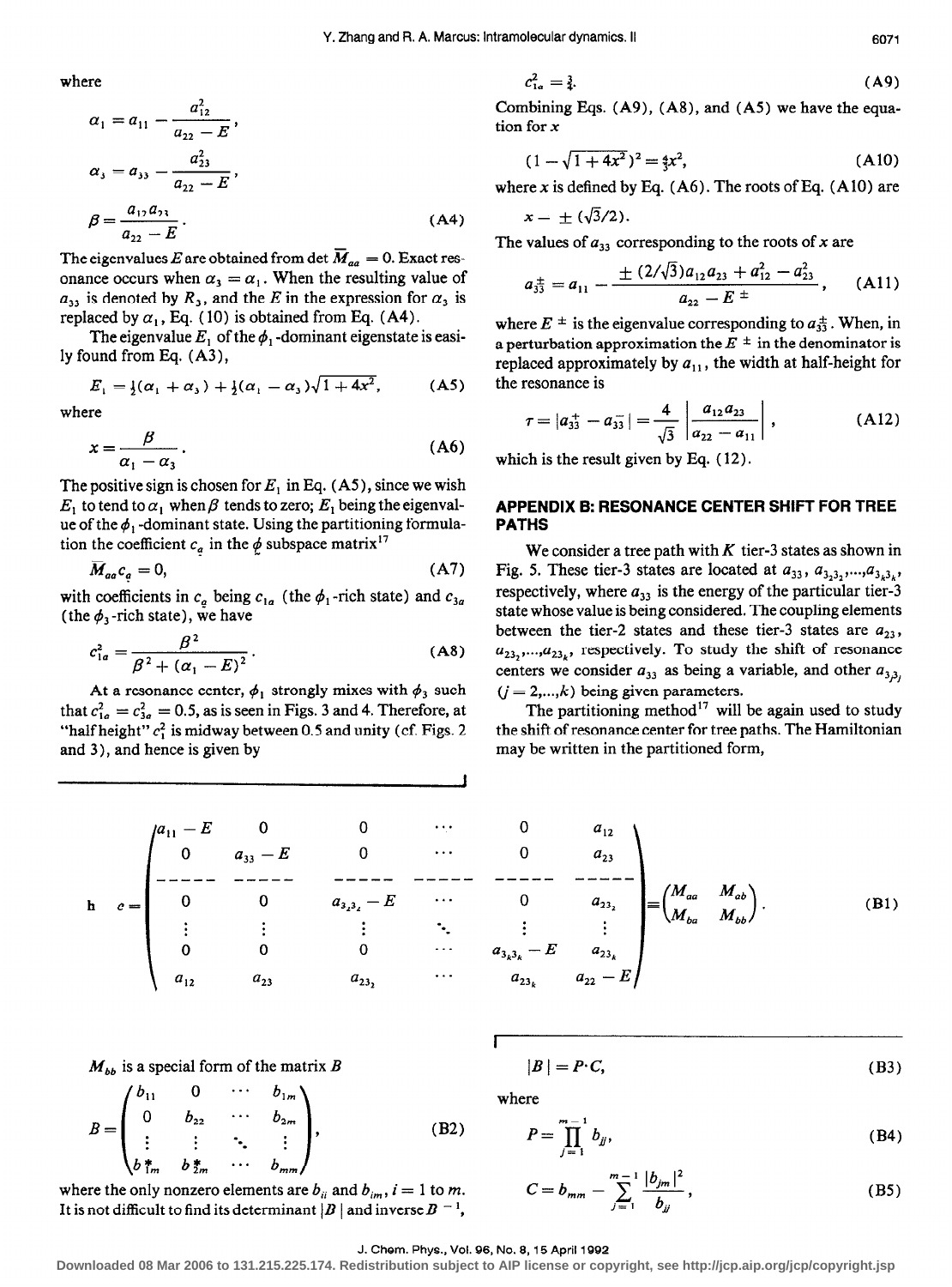where

$$
\alpha_1 = a_{11} - \frac{a_{12}^2}{a_{22} - E},
$$
  
\n
$$
\alpha_3 = a_{33} - \frac{a_{23}^2}{a_{22} - E},
$$
  
\n
$$
\beta = \frac{a_{12}a_{23}}{a_{22} - E}.
$$
\n(A4)

The eigenvalues E are obtained from det  $\overline{M}_{aa} = 0$ . Exact resonance occurs when  $\alpha_3 = \alpha_1$ . When the resulting value of  $a_{33}$  is denoted by  $R_3$ , and the E in the expression for  $\alpha_3$  is replaced by  $\alpha_1$ , Eq. (10) is obtained from Eq. (A4).

The eigenvalue  $E_1$  of the  $\phi_1$ -dominant eigenstate is easily found from Eq. (A3),

$$
E_1 = \frac{1}{2}(\alpha_1 + \alpha_3) + \frac{1}{2}(\alpha_1 - \alpha_3)\sqrt{1 + 4x^2},
$$
 (A5)

where

$$
x = \frac{\beta}{\alpha_1 - \alpha_3} \,. \tag{A6}
$$

The positive sign is chosen for  $E_1$  in Eq. (A5), since we wish  $E_1$  to tend to  $\alpha_1$  when  $\beta$  tends to zero;  $E_1$  being the eigenvalue of the  $\phi_1$ -dominant state. Using the partitioning formulation the coefficient  $c_a$  in the  $\phi$  subspace matrix<sup>17</sup>

$$
\overline{M}_{aa}c_a = 0, \tag{A7}
$$

with coefficients in  $c_a$  being  $c_{1a}$  (the  $\phi_1$ -rich state) and  $c_{3a}$ (the  $\phi_3$ -rich state), we have

$$
c_{1a}^2 = \frac{\beta^2}{\beta^2 + (\alpha_1 - E)^2}.
$$
 (A8)

At a resonance center,  $\phi_1$  strongly mixes with  $\phi_3$  such that  $c_{1a}^2 = c_{3a}^2 = 0.5$ , as is seen in Figs. 3 and 4. Therefore, at "half height"  $c_1^2$  is midway between 0.5 and unity (cf. Figs. 2) and 3), and hence is given by

$$
c_{1a}^2 = \frac{3}{4}.\tag{A9}
$$

Combining Eqs. (A9), (A8), and (A5) we have the equation for x

$$
(1 - \sqrt{1 + 4x^2})^2 = \frac{4}{3}x^2, \tag{A10}
$$

where x is defined by Eq.  $(A6)$ . The roots of Eq.  $(A10)$  are

$$
x = \pm (\sqrt{3}/2)
$$

The values of  $a_{33}$  corresponding to the roots of x are

$$
a_{33}^{\pm} = a_{11} - \frac{\pm (2/\sqrt{3})a_{12}a_{23} + a_{12}^2 - a_{23}^2}{a_{22} - E^{\pm}}, \quad \text{(A11)}
$$

where  $E^{\pm}$  is the eigenvalue corresponding to  $a_{33}^{\pm}$ . When, in a perturbation approximation the  $E^{\pm}$  in the denominator is replaced approximately by  $a_{11}$ , the width at half-height for the resonance is

$$
\tau = |a_{33}^+ - a_{33}^-| = \frac{4}{\sqrt{3}} \left| \frac{a_{12} a_{23}}{a_{22} - a_{11}} \right|, \qquad (A12)
$$

which is the result given by Eq. ( 12).

### APPENDIX B: RESONANCE CENTER SHIFT FOR TREE PATHS

We consider a tree path with  $K$  tier-3 states as shown in Fig. 5. These tier-3 states are located at  $a_{33}$ ,  $a_{3_2,3_2},...,a_{3_k,3_k}$ , respectively, where  $a_{33}$  is the energy of the particular tier-3 state whose value is being considered. The coupling elements between the tier-2 states and these tier-3 states are  $a_{23}$ ,  $a_{23},...,a_{23k}$ , respectively. To study the shift of resonance centers we consider  $a_{33}$  as being a variable, and other  $a_{3,3}$ ,  $(j = 2,...,k)$  being given parameters.

The partitioning method<sup>17</sup> will be again used to study the shift of resonance center for tree paths. The Hamiltonian may be written in the partitioned form,

| $\begin{pmatrix} a_{11} - E & 0 \\ 0 & a_{33} - E \end{pmatrix}$ |                |                |
|------------------------------------------------------------------|----------------|----------------|
|                                                                  |                |                |
|                                                                  | $a_{3_23_2}-E$ |                |
|                                                                  | $\frac{1}{2}$  | $\sim 20$      |
|                                                                  |                | $a_{3_k3_k}$ - |
|                                                                  | $a_{23}$       | $a_{23}$       |

$$
\begin{array}{ccc}\n\dots & 0 & a_{12} \\
\dots & 0 & a_{23} \\
\dots & \vdots & \vdots \\
\vdots & \vdots & \vdots \\
a_{3_k3_k} - E & a_{23_k} \\
\vdots & \vdots & \vdots \\
a_{23_k} & a_{22} - E\n\end{array}\n=\n\begin{pmatrix}\nM_{aa} & M_{ab} \\
M_{ba} & M_{bb}\n\end{pmatrix}.
$$
\n(B1)

 $M_{bb}$  is a special form of the matrix B

$$
B = \begin{pmatrix} b_{11} & 0 & \cdots & b_{1m} \\ 0 & b_{22} & \cdots & b_{2m} \\ \vdots & \vdots & \ddots & \vdots \\ b_{1m}^* & b_{2m}^* & \cdots & b_{mm} \end{pmatrix},
$$
 (B2)

where the only nonzero elements are  $b_{ii}$  and  $b_{im}$ ,  $i = 1$  to m. It is not difficult to find its determinant  $|B|$  and inverse  $B^{-1}$ ,

 $|B| = P \cdot C$ ,  $(B3)$ 

where

I

$$
P = \prod_{j=1}^{m-1} b_{jj},
$$
 (B4)

$$
C = b_{mm} - \sum_{j=1}^{m-1} \frac{|b_{jm}|^2}{b_{jj}},
$$
 (B5)

#### J. Chem. Phys., Vol. 96, No. 8, 15 April 1992

**Downloaded 08 Mar 2006 to 131.215.225.174. Redistribution subject to AIP license or copyright, see http://jcp.aip.org/jcp/copyright.jsp**